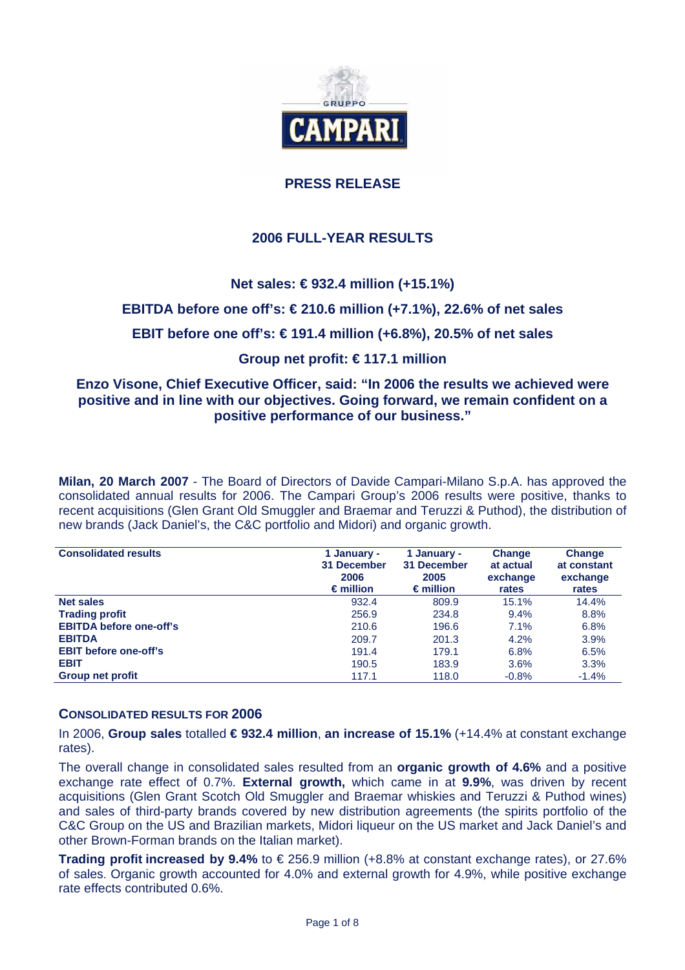

## **PRESS RELEASE**

## **2006 FULL-YEAR RESULTS**

## **Net sales: € 932.4 million (+15.1%)**

### **EBITDA before one off's: € 210.6 million (+7.1%), 22.6% of net sales**

### **EBIT before one off's: € 191.4 million (+6.8%), 20.5% of net sales**

### **Group net profit: € 117.1 million**

### **Enzo Visone, Chief Executive Officer, said: "In 2006 the results we achieved were positive and in line with our objectives. Going forward, we remain confident on a positive performance of our business."**

**Milan, 20 March 2007** - The Board of Directors of Davide Campari-Milano S.p.A. has approved the consolidated annual results for 2006. The Campari Group's 2006 results were positive, thanks to recent acquisitions (Glen Grant Old Smuggler and Braemar and Teruzzi & Puthod), the distribution of new brands (Jack Daniel's, the C&C portfolio and Midori) and organic growth.

| <b>Consolidated results</b>    | 1 January -<br>31 December<br>2006<br>$\epsilon$ million | 1 January -<br>31 December<br>2005<br>$\epsilon$ million | Change<br>at actual<br>exchange<br>rates | Change<br>at constant<br>exchange<br>rates |
|--------------------------------|----------------------------------------------------------|----------------------------------------------------------|------------------------------------------|--------------------------------------------|
| <b>Net sales</b>               | 932.4                                                    | 809.9                                                    | 15.1%                                    | 14.4%                                      |
| <b>Trading profit</b>          | 256.9                                                    | 234.8                                                    | $9.4\%$                                  | 8.8%                                       |
| <b>EBITDA before one-off's</b> | 210.6                                                    | 196.6                                                    | 7.1%                                     | 6.8%                                       |
| <b>EBITDA</b>                  | 209.7                                                    | 201.3                                                    | 4.2%                                     | 3.9%                                       |
| <b>EBIT before one-off's</b>   | 191.4                                                    | 179.1                                                    | 6.8%                                     | 6.5%                                       |
| <b>EBIT</b>                    | 190.5                                                    | 183.9                                                    | 3.6%                                     | 3.3%                                       |
| <b>Group net profit</b>        | 117.1                                                    | 118.0                                                    | $-0.8%$                                  | $-1.4%$                                    |

#### **CONSOLIDATED RESULTS FOR 2006**

In 2006, **Group sales** totalled **€ 932.4 million**, **an increase of 15.1%** (+14.4% at constant exchange rates).

The overall change in consolidated sales resulted from an **organic growth of 4.6%** and a positive exchange rate effect of 0.7%. **External growth,** which came in at **9.9%**, was driven by recent acquisitions (Glen Grant Scotch Old Smuggler and Braemar whiskies and Teruzzi & Puthod wines) and sales of third-party brands covered by new distribution agreements (the spirits portfolio of the C&C Group on the US and Brazilian markets, Midori liqueur on the US market and Jack Daniel's and other Brown-Forman brands on the Italian market).

**Trading profit increased by 9.4%** to € 256.9 million (+8.8% at constant exchange rates), or 27.6% of sales. Organic growth accounted for 4.0% and external growth for 4.9%, while positive exchange rate effects contributed 0.6%.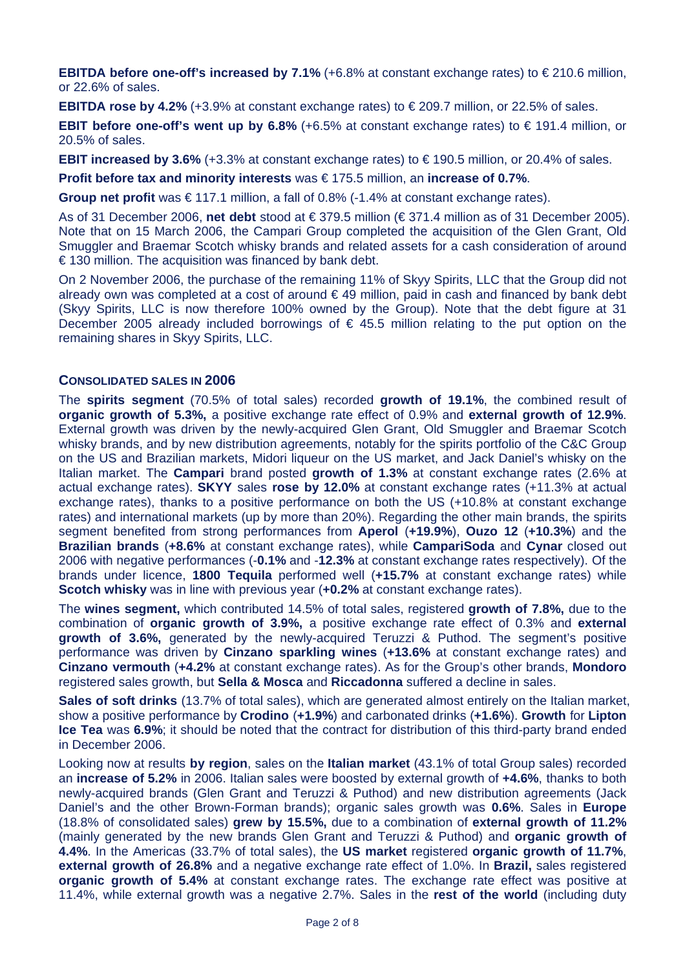**EBITDA before one-off's increased by 7.1%** (+6.8% at constant exchange rates) to  $\in$  210.6 million, or 22.6% of sales.

**EBITDA rose by 4.2%** (+3.9% at constant exchange rates) to € 209.7 million, or 22.5% of sales.

**EBIT before one-off's went up by 6.8%** (+6.5% at constant exchange rates) to  $\in$  191.4 million, or 20.5% of sales.

**EBIT increased by 3.6%** (+3.3% at constant exchange rates) to € 190.5 million, or 20.4% of sales.

**Profit before tax and minority interests** was € 175.5 million, an **increase of 0.7%**.

**Group net profit** was € 117.1 million, a fall of 0.8% (-1.4% at constant exchange rates).

As of 31 December 2006, **net debt** stood at € 379.5 million (€ 371.4 million as of 31 December 2005). Note that on 15 March 2006, the Campari Group completed the acquisition of the Glen Grant, Old Smuggler and Braemar Scotch whisky brands and related assets for a cash consideration of around  $\epsilon$  130 million. The acquisition was financed by bank debt.

On 2 November 2006, the purchase of the remaining 11% of Skyy Spirits, LLC that the Group did not already own was completed at a cost of around  $\epsilon$  49 million, paid in cash and financed by bank debt (Skyy Spirits, LLC is now therefore 100% owned by the Group). Note that the debt figure at 31 December 2005 already included borrowings of  $\epsilon$  45.5 million relating to the put option on the remaining shares in Skyy Spirits, LLC.

#### **CONSOLIDATED SALES IN 2006**

The **spirits segment** (70.5% of total sales) recorded **growth of 19.1%**, the combined result of **organic growth of 5.3%,** a positive exchange rate effect of 0.9% and **external growth of 12.9%**. External growth was driven by the newly-acquired Glen Grant, Old Smuggler and Braemar Scotch whisky brands, and by new distribution agreements, notably for the spirits portfolio of the C&C Group on the US and Brazilian markets, Midori liqueur on the US market, and Jack Daniel's whisky on the Italian market. The **Campari** brand posted **growth of 1.3%** at constant exchange rates (2.6% at actual exchange rates). **SKYY** sales **rose by 12.0%** at constant exchange rates (+11.3% at actual exchange rates), thanks to a positive performance on both the US (+10.8% at constant exchange rates) and international markets (up by more than 20%). Regarding the other main brands, the spirits segment benefited from strong performances from **Aperol** (**+19.9%**), **Ouzo 12** (**+10.3%**) and the **Brazilian brands** (**+8.6%** at constant exchange rates), while **CampariSoda** and **Cynar** closed out 2006 with negative performances (-**0.1%** and -**12.3%** at constant exchange rates respectively). Of the brands under licence, **1800 Tequila** performed well (**+15.7%** at constant exchange rates) while **Scotch whisky** was in line with previous year (**+0.2%** at constant exchange rates).

The **wines segment,** which contributed 14.5% of total sales, registered **growth of 7.8%,** due to the combination of **organic growth of 3.9%,** a positive exchange rate effect of 0.3% and **external growth of 3.6%,** generated by the newly-acquired Teruzzi & Puthod. The segment's positive performance was driven by **Cinzano sparkling wines** (**+13.6%** at constant exchange rates) and **Cinzano vermouth** (**+4.2%** at constant exchange rates). As for the Group's other brands, **Mondoro** registered sales growth, but **Sella & Mosca** and **Riccadonna** suffered a decline in sales.

**Sales of soft drinks** (13.7% of total sales), which are generated almost entirely on the Italian market, show a positive performance by **Crodino** (**+1.9%**) and carbonated drinks (**+1.6%**). **Growth** for **Lipton Ice Tea** was **6.9%**; it should be noted that the contract for distribution of this third-party brand ended in December 2006.

Looking now at results **by region**, sales on the **Italian market** (43.1% of total Group sales) recorded an **increase of 5.2%** in 2006. Italian sales were boosted by external growth of **+4.6%**, thanks to both newly-acquired brands (Glen Grant and Teruzzi & Puthod) and new distribution agreements (Jack Daniel's and the other Brown-Forman brands); organic sales growth was **0.6%**. Sales in **Europe**  (18.8% of consolidated sales) **grew by 15.5%,** due to a combination of **external growth of 11.2%**  (mainly generated by the new brands Glen Grant and Teruzzi & Puthod) and **organic growth of 4.4%**. In the Americas (33.7% of total sales), the **US market** registered **organic growth of 11.7%**, **external growth of 26.8%** and a negative exchange rate effect of 1.0%. In **Brazil,** sales registered **organic growth of 5.4%** at constant exchange rates. The exchange rate effect was positive at 11.4%, while external growth was a negative 2.7%. Sales in the **rest of the world** (including duty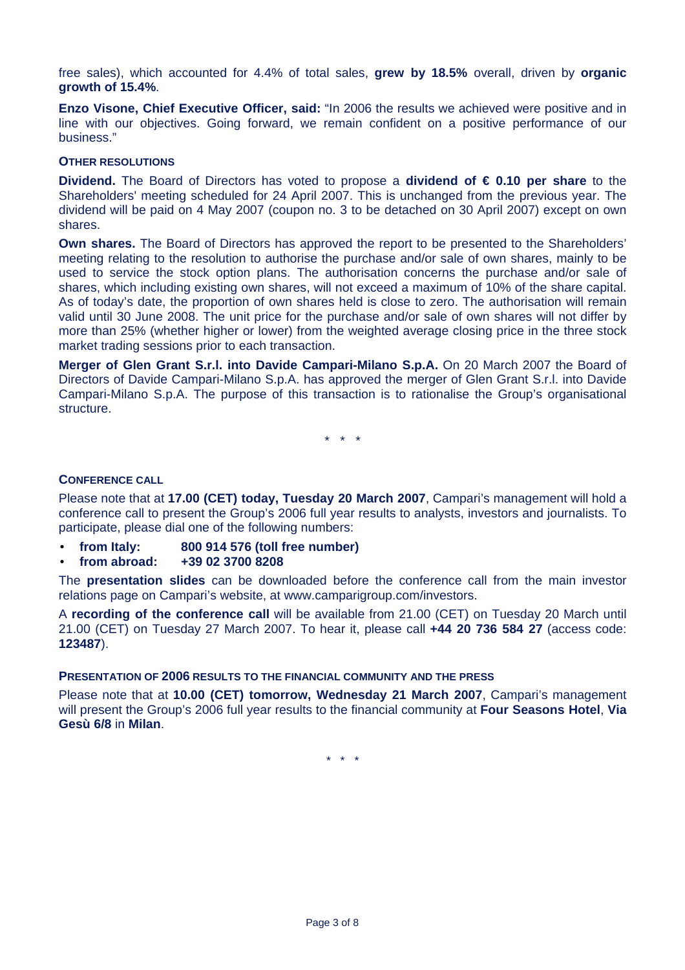free sales), which accounted for 4.4% of total sales, **grew by 18.5%** overall, driven by **organic growth of 15.4%**.

**Enzo Visone, Chief Executive Officer, said:** "In 2006 the results we achieved were positive and in line with our objectives. Going forward, we remain confident on a positive performance of our business."

#### **OTHER RESOLUTIONS**

**Dividend.** The Board of Directors has voted to propose a **dividend of € 0.10 per share** to the Shareholders' meeting scheduled for 24 April 2007. This is unchanged from the previous year. The dividend will be paid on 4 May 2007 (coupon no. 3 to be detached on 30 April 2007) except on own shares.

**Own shares.** The Board of Directors has approved the report to be presented to the Shareholders' meeting relating to the resolution to authorise the purchase and/or sale of own shares, mainly to be used to service the stock option plans. The authorisation concerns the purchase and/or sale of shares, which including existing own shares, will not exceed a maximum of 10% of the share capital. As of today's date, the proportion of own shares held is close to zero. The authorisation will remain valid until 30 June 2008. The unit price for the purchase and/or sale of own shares will not differ by more than 25% (whether higher or lower) from the weighted average closing price in the three stock market trading sessions prior to each transaction.

**Merger of Glen Grant S.r.l. into Davide Campari-Milano S.p.A.** On 20 March 2007 the Board of Directors of Davide Campari-Milano S.p.A. has approved the merger of Glen Grant S.r.l. into Davide Campari-Milano S.p.A. The purpose of this transaction is to rationalise the Group's organisational structure.

\* \* \*

#### **CONFERENCE CALL**

Please note that at **17.00 (CET) today, Tuesday 20 March 2007**, Campari's management will hold a conference call to present the Group's 2006 full year results to analysts, investors and journalists. To participate, please dial one of the following numbers:

- **from Italy: 800 914 576 (toll free number)**
- **from abroad: +39 02 3700 8208**

The **presentation slides** can be downloaded before the conference call from the main investor relations page on Campari's website, at www.camparigroup.com/investors.

A **recording of the conference call** will be available from 21.00 (CET) on Tuesday 20 March until 21.00 (CET) on Tuesday 27 March 2007. To hear it, please call **+44 20 736 584 27** (access code: **123487**).

#### **PRESENTATION OF 2006 RESULTS TO THE FINANCIAL COMMUNITY AND THE PRESS**

Please note that at **10.00 (CET) tomorrow, Wednesday 21 March 2007**, Campari's management will present the Group's 2006 full year results to the financial community at **Four Seasons Hotel**, **Via Gesù 6/8** in **Milan**.

\* \* \*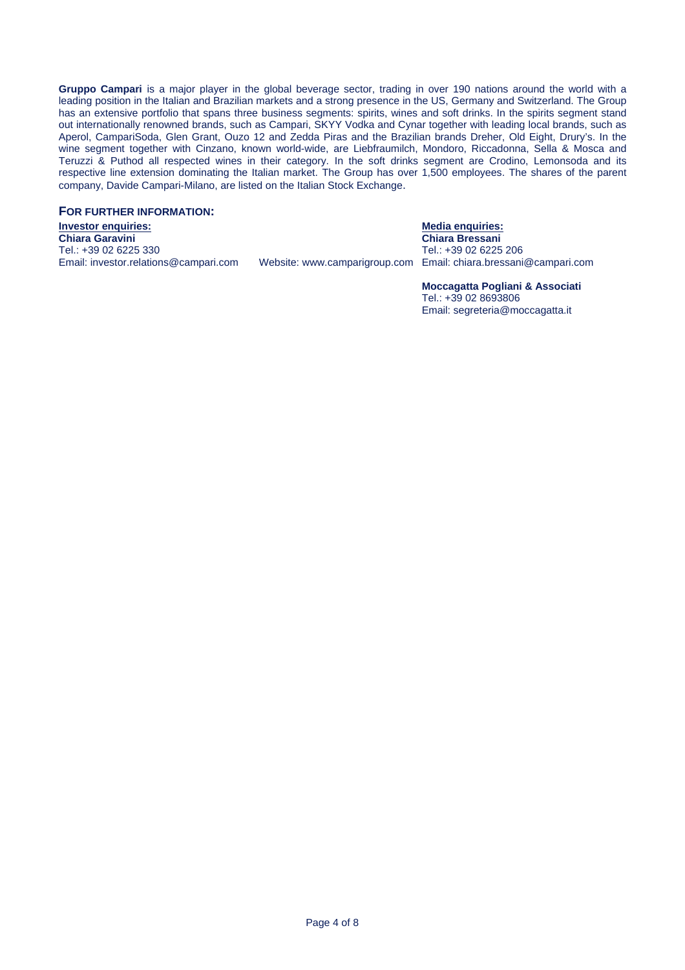**Gruppo Campari** is a major player in the global beverage sector, trading in over 190 nations around the world with a leading position in the Italian and Brazilian markets and a strong presence in the US, Germany and Switzerland. The Group has an extensive portfolio that spans three business segments: spirits, wines and soft drinks. In the spirits segment stand out internationally renowned brands, such as Campari, SKYY Vodka and Cynar together with leading local brands, such as Aperol, CampariSoda, Glen Grant, Ouzo 12 and Zedda Piras and the Brazilian brands Dreher, Old Eight, Drury's. In the wine segment together with Cinzano, known world-wide, are Liebfraumilch, Mondoro, Riccadonna, Sella & Mosca and Teruzzi & Puthod all respected wines in their category. In the soft drinks segment are Crodino, Lemonsoda and its respective line extension dominating the Italian market. The Group has over 1,500 employees. The shares of the parent company, Davide Campari-Milano, are listed on the Italian Stock Exchange.

### **FOR FURTHER INFORMATION:**

**Investor enquiries:** Media enquiries: Media enquiries: Media enquiries: Media enquiries: Media enquiries: Media enquiries: Media enquiries: Media enquiries: Media enquiries: Media enquiries: Media enquiries: Media enquiri **Chiara Garavini Chiara Garavini Chiara Garavini Chiara Bressani Chiara Bressani Chiara Bressani Chiara Bressani Chiara Bressani Chiara Bressani Chiara Bressani Chiara Bressani Chiara Bressani Chiar** Tel.: +39 02 6225 330<br>Email: investor.relations@campari.com

Website: www.camparigroup.com Email: chiara.bressani@campari.com

**Moccagatta Pogliani & Associati**  Tel.: +39 02 8693806 Email: segreteria@moccagatta.it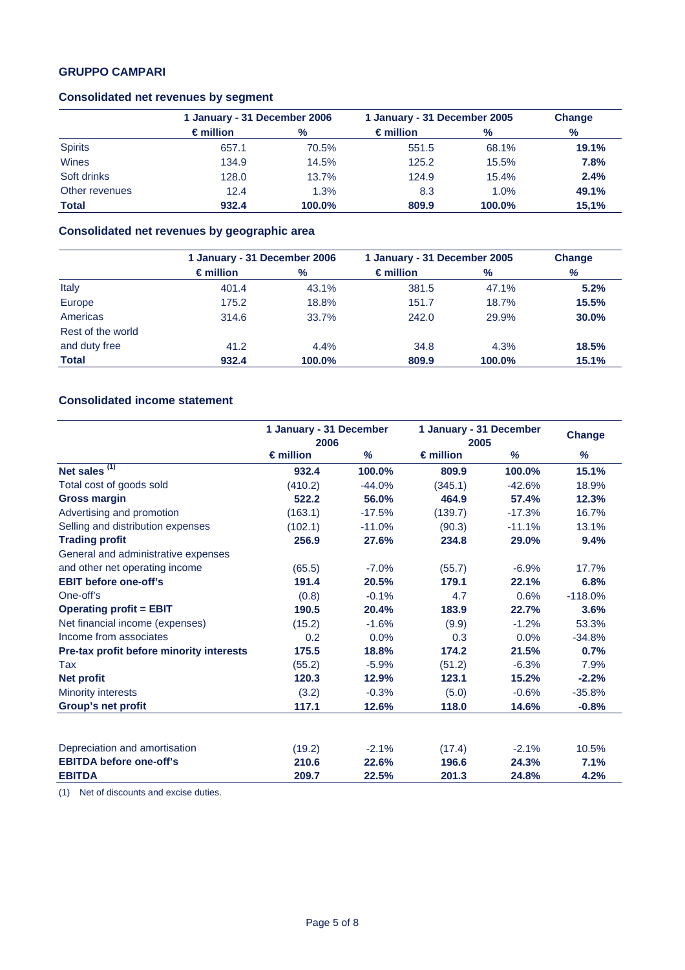### **GRUPPO CAMPARI**

#### **Consolidated net revenues by segment**

|                |                    | 1 January - 31 December 2006 |                    | 1 January - 31 December 2005 |       |
|----------------|--------------------|------------------------------|--------------------|------------------------------|-------|
|                | $\epsilon$ million | $\%$                         | $\epsilon$ million | %                            | $\%$  |
| <b>Spirits</b> | 657.1              | 70.5%                        | 551.5              | 68.1%                        | 19.1% |
| Wines          | 134.9              | 14.5%                        | 125.2              | 15.5%                        | 7.8%  |
| Soft drinks    | 128.0              | 13.7%                        | 124.9              | 15.4%                        | 2.4%  |
| Other revenues | 12.4               | 1.3%                         | 8.3                | 1.0%                         | 49.1% |
| <b>Total</b>   | 932.4              | 100.0%                       | 809.9              | 100.0%                       | 15,1% |

# **Consolidated net revenues by geographic area**

|                   |                    | 1 January - 31 December 2006 |                    | 1 January - 31 December 2005 |       |  |
|-------------------|--------------------|------------------------------|--------------------|------------------------------|-------|--|
|                   | $\epsilon$ million | $\%$                         | $\epsilon$ million | %                            | %     |  |
| Italy             | 401.4              | 43.1%                        | 381.5              | 47.1%                        | 5.2%  |  |
| Europe            | 175.2              | 18.8%                        | 151.7              | 18.7%                        | 15.5% |  |
| Americas          | 314.6              | 33.7%                        | 242.0              | 29.9%                        | 30.0% |  |
| Rest of the world |                    |                              |                    |                              |       |  |
| and duty free     | 41.2               | 4.4%                         | 34.8               | 4.3%                         | 18.5% |  |
| <b>Total</b>      | 932.4              | 100.0%                       | 809.9              | 100.0%                       | 15.1% |  |

## **Consolidated income statement**

|                                          | 1 January - 31 December<br>2006 |          | 1 January - 31 December<br>2005 |          | <b>Change</b> |
|------------------------------------------|---------------------------------|----------|---------------------------------|----------|---------------|
|                                          | $\epsilon$ million              | %        | $\epsilon$ million              | %        | %             |
| Net sales $(1)$                          | 932.4                           | 100.0%   | 809.9                           | 100.0%   | 15.1%         |
| Total cost of goods sold                 | (410.2)                         | $-44.0%$ | (345.1)                         | $-42.6%$ | 18.9%         |
| <b>Gross margin</b>                      | 522.2                           | 56.0%    | 464.9                           | 57.4%    | 12.3%         |
| Advertising and promotion                | (163.1)                         | $-17.5%$ | (139.7)                         | $-17.3%$ | 16.7%         |
| Selling and distribution expenses        | (102.1)                         | $-11.0%$ | (90.3)                          | $-11.1%$ | 13.1%         |
| <b>Trading profit</b>                    | 256.9                           | 27.6%    | 234.8                           | 29.0%    | 9.4%          |
| General and administrative expenses      |                                 |          |                                 |          |               |
| and other net operating income           | (65.5)                          | $-7.0%$  | (55.7)                          | $-6.9%$  | 17.7%         |
| <b>EBIT before one-off's</b>             | 191.4                           | 20.5%    | 179.1                           | 22.1%    | 6.8%          |
| One-off's                                | (0.8)                           | $-0.1%$  | 4.7                             | 0.6%     | $-118.0%$     |
| <b>Operating profit = EBIT</b>           | 190.5                           | 20.4%    | 183.9                           | 22.7%    | 3.6%          |
| Net financial income (expenses)          | (15.2)                          | $-1.6%$  | (9.9)                           | $-1.2%$  | 53.3%         |
| Income from associates                   | 0.2                             | 0.0%     | 0.3                             | 0.0%     | $-34.8%$      |
| Pre-tax profit before minority interests | 175.5                           | 18.8%    | 174.2                           | 21.5%    | 0.7%          |
| Tax                                      | (55.2)                          | $-5.9%$  | (51.2)                          | $-6.3%$  | 7.9%          |
| <b>Net profit</b>                        | 120.3                           | 12.9%    | 123.1                           | 15.2%    | $-2.2%$       |
| <b>Minority interests</b>                | (3.2)                           | $-0.3%$  | (5.0)                           | $-0.6%$  | $-35.8%$      |
| Group's net profit                       | 117.1                           | 12.6%    | 118.0                           | 14.6%    | $-0.8%$       |
|                                          |                                 |          |                                 |          |               |
| Depreciation and amortisation            | (19.2)                          | $-2.1%$  | (17.4)                          | $-2.1%$  | 10.5%         |
| <b>EBITDA before one-off's</b>           | 210.6                           | 22.6%    | 196.6                           | 24.3%    | 7.1%          |
| <b>EBITDA</b>                            | 209.7                           | 22.5%    | 201.3                           | 24.8%    | 4.2%          |

(1) Net of discounts and excise duties.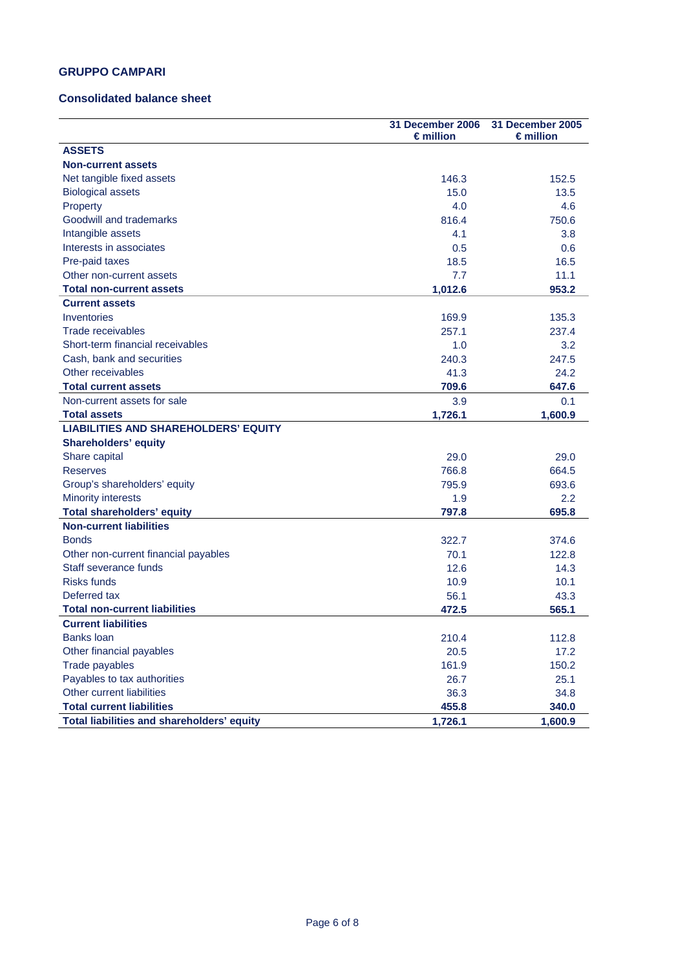### **GRUPPO CAMPARI**

#### **Consolidated balance sheet**

|                                             | 31 December 2006<br>$\epsilon$ million | <b>31 December 2005</b><br>$\epsilon$ million |
|---------------------------------------------|----------------------------------------|-----------------------------------------------|
| <b>ASSETS</b>                               |                                        |                                               |
| <b>Non-current assets</b>                   |                                        |                                               |
| Net tangible fixed assets                   | 146.3                                  | 152.5                                         |
| <b>Biological assets</b>                    | 15.0                                   | 13.5                                          |
| Property                                    | 4.0                                    | 4.6                                           |
| Goodwill and trademarks                     | 816.4                                  | 750.6                                         |
| Intangible assets                           | 4.1                                    | 3.8                                           |
| Interests in associates                     | 0.5                                    | 0.6                                           |
| Pre-paid taxes                              | 18.5                                   | 16.5                                          |
| Other non-current assets                    | 7.7                                    | 11.1                                          |
| <b>Total non-current assets</b>             | 1,012.6                                | 953.2                                         |
| <b>Current assets</b>                       |                                        |                                               |
| Inventories                                 | 169.9                                  | 135.3                                         |
| Trade receivables                           | 257.1                                  | 237.4                                         |
| Short-term financial receivables            | 1.0                                    | 3.2                                           |
| Cash, bank and securities                   | 240.3                                  | 247.5                                         |
| Other receivables                           | 41.3                                   | 24.2                                          |
| <b>Total current assets</b>                 | 709.6                                  | 647.6                                         |
| Non-current assets for sale                 | 3.9                                    | 0.1                                           |
| <b>Total assets</b>                         | 1,726.1                                | 1,600.9                                       |
| <b>LIABILITIES AND SHAREHOLDERS' EQUITY</b> |                                        |                                               |
| <b>Shareholders' equity</b>                 |                                        |                                               |
| Share capital                               | 29.0                                   | 29.0                                          |
| Reserves                                    | 766.8                                  | 664.5                                         |
| Group's shareholders' equity                | 795.9                                  | 693.6                                         |
| <b>Minority interests</b>                   | 1.9                                    | $2.2\,$                                       |
| <b>Total shareholders' equity</b>           | 797.8                                  | 695.8                                         |
| <b>Non-current liabilities</b>              |                                        |                                               |
| <b>Bonds</b>                                | 322.7                                  | 374.6                                         |
| Other non-current financial payables        | 70.1                                   | 122.8                                         |
| Staff severance funds                       | 12.6                                   | 14.3                                          |
| <b>Risks funds</b>                          | 10.9                                   | 10.1                                          |
| Deferred tax                                | 56.1                                   | 43.3                                          |
| <b>Total non-current liabilities</b>        | 472.5                                  | 565.1                                         |
| <b>Current liabilities</b>                  |                                        |                                               |
| <b>Banks loan</b>                           | 210.4                                  | 112.8                                         |
| Other financial payables                    | 20.5                                   | 17.2                                          |
| Trade payables                              | 161.9                                  | 150.2                                         |
| Payables to tax authorities                 | 26.7                                   | 25.1                                          |
| Other current liabilities                   | 36.3                                   | 34.8                                          |
| <b>Total current liabilities</b>            | 455.8                                  | 340.0                                         |
| Total liabilities and shareholders' equity  | 1,726.1                                | 1,600.9                                       |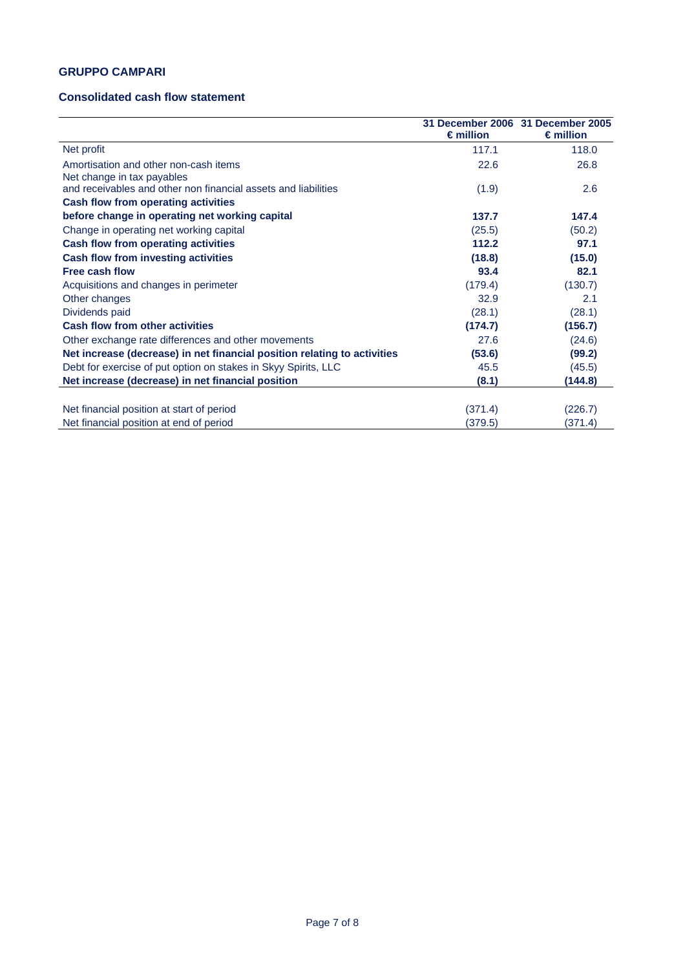### **GRUPPO CAMPARI**

#### **Consolidated cash flow statement**

|                                                                          | $\epsilon$ million | 31 December 2006 31 December 2005<br>$\epsilon$ million |
|--------------------------------------------------------------------------|--------------------|---------------------------------------------------------|
| Net profit                                                               | 117.1              | 118.0                                                   |
| Amortisation and other non-cash items<br>Net change in tax payables      | 22.6               | 26.8                                                    |
| and receivables and other non financial assets and liabilities           | (1.9)              | 2.6                                                     |
| <b>Cash flow from operating activities</b>                               |                    |                                                         |
| before change in operating net working capital                           | 137.7              | 147.4                                                   |
| Change in operating net working capital                                  | (25.5)             | (50.2)                                                  |
| Cash flow from operating activities                                      | 112.2              | 97.1                                                    |
| Cash flow from investing activities                                      | (18.8)             | (15.0)                                                  |
| <b>Free cash flow</b>                                                    | 93.4               | 82.1                                                    |
| Acquisitions and changes in perimeter                                    | (179.4)            | (130.7)                                                 |
| Other changes                                                            | 32.9               | 2.1                                                     |
| Dividends paid                                                           | (28.1)             | (28.1)                                                  |
| Cash flow from other activities                                          | (174.7)            | (156.7)                                                 |
| Other exchange rate differences and other movements                      | 27.6               | (24.6)                                                  |
| Net increase (decrease) in net financial position relating to activities | (53.6)             | (99.2)                                                  |
| Debt for exercise of put option on stakes in Skyy Spirits, LLC           | 45.5               | (45.5)                                                  |
| Net increase (decrease) in net financial position                        | (8.1)              | (144.8)                                                 |
|                                                                          |                    |                                                         |
| Net financial position at start of period                                | (371.4)            | (226.7)                                                 |
| Net financial position at end of period                                  | (379.5)            | (371.4)                                                 |